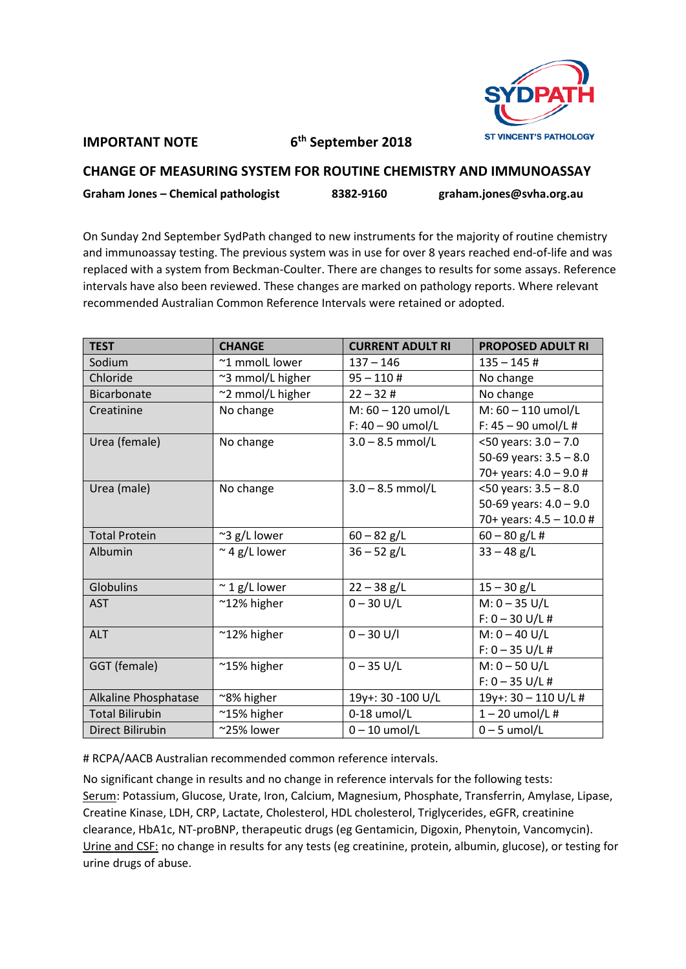

## **IMPORTANT NOTE 6**

**th September 2018**

## **CHANGE OF MEASURING SYSTEM FOR ROUTINE CHEMISTRY AND IMMUNOASSAY Graham Jones – Chemical pathologist 8382-9160 graham.jones@svha.org.au**

On Sunday 2nd September SydPath changed to new instruments for the majority of routine chemistry and immunoassay testing. The previous system was in use for over 8 years reached end-of-life and was replaced with a system from Beckman-Coulter. There are changes to results for some assays. Reference intervals have also been reviewed. These changes are marked on pathology reports. Where relevant recommended Australian Common Reference Intervals were retained or adopted.

| <b>TEST</b>            | <b>CHANGE</b>         | <b>CURRENT ADULT RI</b> | <b>PROPOSED ADULT RI</b>  |
|------------------------|-----------------------|-------------------------|---------------------------|
| Sodium                 | ~1 mmolL lower        | $137 - 146$             | $135 - 145$ #             |
| Chloride               | ~3 mmol/L higher      | $95 - 110$ #            | No change                 |
| Bicarbonate            | ~2 mmol/L higher      | $22 - 32#$              | No change                 |
| Creatinine             | No change             | M: 60 - 120 umol/L      | M: 60 - 110 umol/L        |
|                        |                       | $F: 40 - 90$ umol/L     | F: $45 - 90$ umol/L#      |
| Urea (female)          | No change             | $3.0 - 8.5$ mmol/L      | $<$ 50 years: 3.0 - 7.0   |
|                        |                       |                         | 50-69 years: $3.5 - 8.0$  |
|                        |                       |                         | 70+ years: $4.0 - 9.0$ #  |
| Urea (male)            | No change             | $3.0 - 8.5$ mmol/L      | $<$ 50 years: 3.5 - 8.0   |
|                        |                       |                         | 50-69 years: $4.0 - 9.0$  |
|                        |                       |                         | 70+ years: $4.5 - 10.0$ # |
| <b>Total Protein</b>   | $\approx$ 3 g/L lower | $60 - 82$ g/L           | $60 - 80$ g/L #           |
| Albumin                | $\approx$ 4 g/L lower | $36 - 52$ g/L           | $33 - 48$ g/L             |
|                        |                       |                         |                           |
| Globulins              | $\approx$ 1 g/L lower | $22 - 38$ g/L           | $15 - 30$ g/L             |
| <b>AST</b>             | ~12% higher           | $0 - 30$ U/L            | $M: 0 - 35 U/L$           |
|                        |                       |                         | $F: 0 - 30 U/L$ #         |
| <b>ALT</b>             | ~12% higher           | $0 - 30$ U/I            | $M: 0 - 40$ U/L           |
|                        |                       |                         | $F: 0 - 35 U/L$ #         |
| GGT (female)           | $^{\sim}$ 15% higher  | $0 - 35$ U/L            | $M: 0 - 50$ U/L           |
|                        |                       |                         | $F: 0 - 35 U/L$ #         |
| Alkaline Phosphatase   | ~8% higher            | 19y+: 30 -100 U/L       | 19y+: 30 - 110 U/L #      |
| <b>Total Bilirubin</b> | ~15% higher           | $0-18$ umol/L           | $1 - 20$ umol/L#          |
| Direct Bilirubin       | ~25% lower            | $0 - 10$ umol/L         | $0 - 5$ umol/L            |

# RCPA/AACB Australian recommended common reference intervals.

No significant change in results and no change in reference intervals for the following tests: Serum: Potassium, Glucose, Urate, Iron, Calcium, Magnesium, Phosphate, Transferrin, Amylase, Lipase, Creatine Kinase, LDH, CRP, Lactate, Cholesterol, HDL cholesterol, Triglycerides, eGFR, creatinine clearance, HbA1c, NT-proBNP, therapeutic drugs (eg Gentamicin, Digoxin, Phenytoin, Vancomycin). Urine and CSF: no change in results for any tests (eg creatinine, protein, albumin, glucose), or testing for urine drugs of abuse.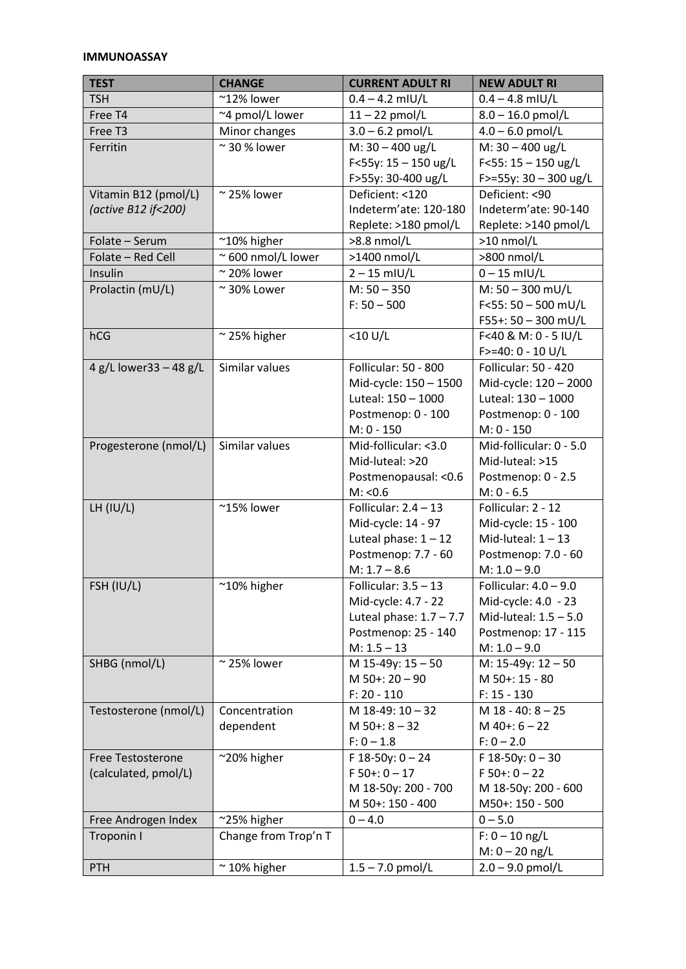## **IMMUNOASSAY**

| <b>TEST</b>                                 | <b>CHANGE</b>              | <b>CURRENT ADULT RI</b>                                                                                            | <b>NEW ADULT RI</b>                                                                                              |
|---------------------------------------------|----------------------------|--------------------------------------------------------------------------------------------------------------------|------------------------------------------------------------------------------------------------------------------|
| <b>TSH</b>                                  | $^{\sim}$ 12% lower        | $0.4 - 4.2$ mIU/L                                                                                                  | $0.4 - 4.8$ mIU/L                                                                                                |
| Free T4                                     | ~4 pmol/L lower            | $11 - 22$ pmol/L                                                                                                   | $8.0 - 16.0$ pmol/L                                                                                              |
| Free T3                                     | Minor changes              | $3.0 - 6.2$ pmol/L                                                                                                 | $4.0 - 6.0$ pmol/L                                                                                               |
| Ferritin                                    | $\approx$ 30 % lower       | M: $30 - 400$ ug/L<br>F<55y: $15 - 150$ ug/L                                                                       | M: $30 - 400$ ug/L<br>$F<55:15-150$ ug/L                                                                         |
| Vitamin B12 (pmol/L)<br>(active B12 if<200) | $\sim$ 25% lower           | F>55y: 30-400 ug/L<br>Deficient: <120<br>Indeterm'ate: 120-180<br>Replete: >180 pmol/L                             | F>=55y: $30 - 300$ ug/L<br>Deficient: <90<br>Indeterm'ate: 90-140<br>Replete: >140 pmol/L                        |
| Folate - Serum                              | $^{\sim}10\%$ higher       | >8.8 nmol/L                                                                                                        | $>10$ nmol/L                                                                                                     |
| Folate - Red Cell                           | $\approx$ 600 nmol/L lower | >1400 nmol/L                                                                                                       | >800 nmol/L                                                                                                      |
| Insulin                                     | $\sim$ 20% lower           | $2 - 15$ mIU/L                                                                                                     | $0 - 15$ mIU/L                                                                                                   |
| Prolactin (mU/L)                            | $\approx$ 30% Lower        | $M: 50 - 350$<br>$F: 50 - 500$                                                                                     | $M: 50 - 300$ mU/L<br>F<55: $50 - 500$ mU/L<br>$F55+: 50 - 300$ mU/L                                             |
| hCG                                         | $\approx$ 25% higher       | $<$ 10 U/L                                                                                                         | F<40 & M: 0 - 5 IU/L<br>$F > = 40: 0 - 10 U/L$                                                                   |
| 4 g/L lower33 - 48 g/L                      | Similar values             | Follicular: 50 - 800<br>Mid-cycle: 150 - 1500<br>Luteal: 150 - 1000<br>Postmenop: 0 - 100<br>$M: 0 - 150$          | Follicular: 50 - 420<br>Mid-cycle: 120 - 2000<br>Luteal: 130 - 1000<br>Postmenop: 0 - 100<br>$M: 0 - 150$        |
| Progesterone (nmol/L)                       | Similar values             | Mid-follicular: <3.0<br>Mid-luteal: >20<br>Postmenopausal: < 0.6<br>M: < 0.6                                       | Mid-follicular: 0 - 5.0<br>Mid-luteal: >15<br>Postmenop: 0 - 2.5<br>$M: 0 - 6.5$                                 |
| LH $(IU/L)$                                 | $^{\sim}$ 15% lower        | Follicular: $2.4 - 13$<br>Mid-cycle: 14 - 97<br>Luteal phase: $1 - 12$<br>Postmenop: 7.7 - 60<br>$M: 1.7 - 8.6$    | Follicular: 2 - 12<br>Mid-cycle: 15 - 100<br>Mid-luteal: $1 - 13$<br>Postmenop: 7.0 - 60<br>$M: 1.0 - 9.0$       |
| FSH (IU/L)                                  | $^{\sim}10\%$ higher       | Follicular: $3.5 - 13$<br>Mid-cycle: 4.7 - 22<br>Luteal phase: $1.7 - 7.7$<br>Postmenop: 25 - 140<br>$M: 1.5 - 13$ | Follicular: 4.0 - 9.0<br>Mid-cycle: 4.0 - 23<br>Mid-luteal: $1.5 - 5.0$<br>Postmenop: 17 - 115<br>$M: 1.0 - 9.0$ |
| SHBG (nmol/L)                               | $\approx$ 25% lower        | M 15-49y: 15 - 50<br>$M$ 50+: 20 - 90<br>$F: 20 - 110$                                                             | $M: 15-49y: 12-50$<br>M 50+: 15 - 80<br>$F: 15 - 130$                                                            |
| Testosterone (nmol/L)                       | Concentration<br>dependent | M 18-49: 10 - 32<br>$M$ 50+: 8 - 32<br>$F: 0 - 1.8$                                                                | $M$ 18 - 40: 8 - 25<br>$M$ 40+: 6 - 22<br>$F: 0 - 2.0$                                                           |
| Free Testosterone<br>(calculated, pmol/L)   | ~20% higher                | F 18-50y: $0 - 24$<br>$F 50 + : 0 - 17$<br>M 18-50y: 200 - 700<br>M 50+: 150 - 400                                 | $F$ 18-50y: 0 - 30<br>$F 50 + : 0 - 22$<br>M 18-50y: 200 - 600<br>M50+: 150 - 500                                |
| Free Androgen Index                         | ~25% higher                | $0 - 4.0$                                                                                                          | $0 - 5.0$                                                                                                        |
| Troponin I                                  | Change from Trop'n T       |                                                                                                                    | $F: 0 - 10$ ng/L<br>$M: 0 - 20$ ng/L                                                                             |
| PTH                                         | $~\sim$ 10% higher         | $1.5 - 7.0$ pmol/L                                                                                                 | $2.0 - 9.0$ pmol/L                                                                                               |